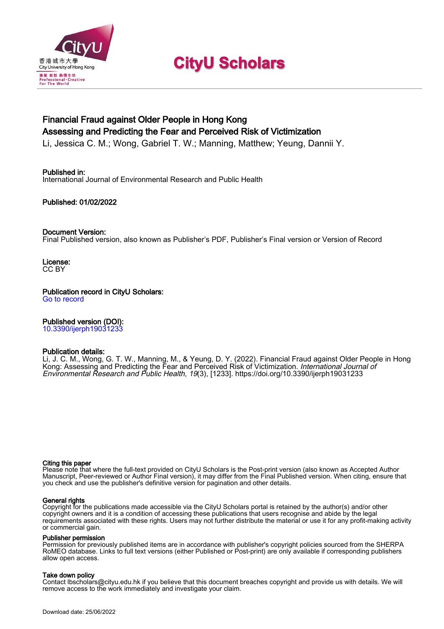

# **CityU Scholars**

# Financial Fraud against Older People in Hong Kong Assessing and Predicting the Fear and Perceived Risk of Victimization

Li, Jessica C. M.; Wong, Gabriel T. W.; Manning, Matthew; Yeung, Dannii Y.

# Published in:

International Journal of Environmental Research and Public Health

# Published: 01/02/2022

# Document Version:

Final Published version, also known as Publisher's PDF, Publisher's Final version or Version of Record

License: CC BY

Publication record in CityU Scholars:

[Go to record](https://scholars.cityu.edu.hk/en/publications/financial-fraud-against-older-people-in-hong-kong(426a39a8-1c57-4ace-8dfd-97542e2fc150).html)

# Published version (DOI):

[10.3390/ijerph19031233](https://doi.org/10.3390/ijerph19031233)

### Publication details:

Li, J. C. M., Wong, G. T. W., Manning, M.[, & Yeung, D. Y.](https://scholars.cityu.edu.hk/en/persons/dannii-yeung(f28959ab-a935-47dc-86de-5b3820c0cf12).html) (2022). [Financial Fraud against Older People in Hong](https://scholars.cityu.edu.hk/en/publications/financial-fraud-against-older-people-in-hong-kong(426a39a8-1c57-4ace-8dfd-97542e2fc150).html) [Kong: Assessing and Predicting the Fear and Perceived Risk of Victimization.](https://scholars.cityu.edu.hk/en/publications/financial-fraud-against-older-people-in-hong-kong(426a39a8-1c57-4ace-8dfd-97542e2fc150).html) *[International Journal of](https://scholars.cityu.edu.hk/en/journals/international-journal-of-environmental-research-and-public-health(b9e88005-aa26-4ad7-9a6f-497aead9305f)/publications.html)* [Environmental Research and Public Health](https://scholars.cityu.edu.hk/en/journals/international-journal-of-environmental-research-and-public-health(b9e88005-aa26-4ad7-9a6f-497aead9305f)/publications.html), 19(3), [1233].<https://doi.org/10.3390/ijerph19031233>

#### Citing this paper

Please note that where the full-text provided on CityU Scholars is the Post-print version (also known as Accepted Author Manuscript, Peer-reviewed or Author Final version), it may differ from the Final Published version. When citing, ensure that you check and use the publisher's definitive version for pagination and other details.

#### General rights

Copyright for the publications made accessible via the CityU Scholars portal is retained by the author(s) and/or other copyright owners and it is a condition of accessing these publications that users recognise and abide by the legal requirements associated with these rights. Users may not further distribute the material or use it for any profit-making activity or commercial gain.

#### Publisher permission

Permission for previously published items are in accordance with publisher's copyright policies sourced from the SHERPA RoMEO database. Links to full text versions (either Published or Post-print) are only available if corresponding publishers allow open access.

# Take down policy

Contact lbscholars@cityu.edu.hk if you believe that this document breaches copyright and provide us with details. We will remove access to the work immediately and investigate your claim.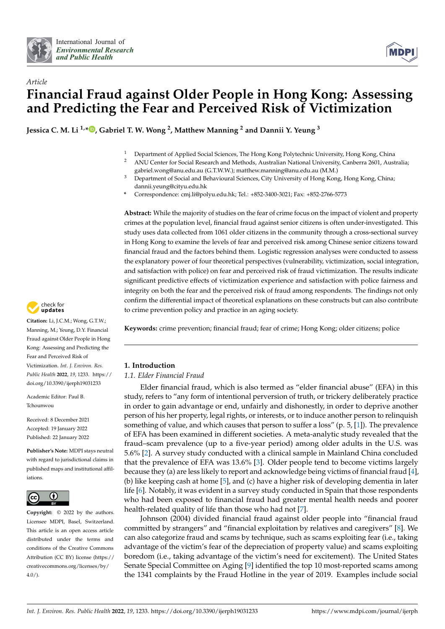



# *Article* **Financial Fraud against Older People in Hong Kong: Assessing and Predicting the Fear and Perceived Risk of Victimization**

**Jessica C. M. Li 1,\* [,](https://orcid.org/0000-0001-5589-4986) Gabriel T. W. Wong <sup>2</sup> , Matthew Manning <sup>2</sup> and Dannii Y. Yeung <sup>3</sup>**

- <sup>1</sup> Department of Applied Social Sciences, The Hong Kong Polytechnic University, Hong Kong, China<br><sup>2</sup> ANU Conter for Social Besearch and Methods, Australian National University, Canberra 2601, Aust
- <sup>2</sup> ANU Center for Social Research and Methods, Australian National University, Canberra 2601, Australia; gabriel.wong@anu.edu.au (G.T.W.W.); matthew.manning@anu.edu.au (M.M.)
- <sup>3</sup> Department of Social and Behavioural Sciences, City University of Hong Kong, Hong Kong, China; dannii.yeung@cityu.edu.hk
- **\*** Correspondence: cmj.li@polyu.edu.hk; Tel.: +852-3400-3021; Fax: +852-2766-5773

**Abstract:** While the majority of studies on the fear of crime focus on the impact of violent and property crimes at the population level, financial fraud against senior citizens is often under-investigated. This study uses data collected from 1061 older citizens in the community through a cross-sectional survey in Hong Kong to examine the levels of fear and perceived risk among Chinese senior citizens toward financial fraud and the factors behind them. Logistic regression analyses were conducted to assess the explanatory power of four theoretical perspectives (vulnerability, victimization, social integration, and satisfaction with police) on fear and perceived risk of fraud victimization. The results indicate significant predictive effects of victimization experience and satisfaction with police fairness and integrity on both the fear and the perceived risk of fraud among respondents. The findings not only confirm the differential impact of theoretical explanations on these constructs but can also contribute to crime prevention policy and practice in an aging society.

**Keywords:** crime prevention; financial fraud; fear of crime; Hong Kong; older citizens; police

# **1. Introduction**

### *1.1. Elder Financial Fraud*

Elder financial fraud, which is also termed as "elder financial abuse" (EFA) in this study, refers to "any form of intentional perversion of truth, or trickery deliberately practice in order to gain advantage or end, unfairly and dishonestly, in order to deprive another person of his her property, legal rights, or interests, or to induce another person to relinquish something of value, and which causes that person to suffer a loss" (p.  $5$ , [\[1\]](#page-11-0)). The prevalence of EFA has been examined in different societies. A meta-analytic study revealed that the fraud–scam prevalence (up to a five-year period) among older adults in the U.S. was 5.6% [\[2\]](#page-11-1). A survey study conducted with a clinical sample in Mainland China concluded that the prevalence of EFA was 13.6% [\[3\]](#page-11-2). Older people tend to become victims largely because they (a) are less likely to report and acknowledge being victims of financial fraud [\[4\]](#page-11-3), (b) like keeping cash at home [\[5\]](#page-11-4), and (c) have a higher risk of developing dementia in later life [\[6\]](#page-11-5). Notably, it was evident in a survey study conducted in Spain that those respondents who had been exposed to financial fraud had greater mental health needs and poorer health-related quality of life than those who had not [\[7\]](#page-12-0).

Johnson (2004) divided financial fraud against older people into "financial fraud committed by strangers" and "financial exploitation by relatives and caregivers" [\[8\]](#page-12-1). We can also categorize fraud and scams by technique, such as scams exploiting fear (i.e., taking advantage of the victim's fear of the depreciation of property value) and scams exploiting boredom (i.e., taking advantage of the victim's need for excitement). The United States Senate Special Committee on Aging [\[9\]](#page-12-2) identified the top 10 most-reported scams among the 1341 complaints by the Fraud Hotline in the year of 2019. Examples include social



**Citation:** Li, J.C.M.; Wong, G.T.W.; Manning, M.; Yeung, D.Y. Financial Fraud against Older People in Hong Kong: Assessing and Predicting the Fear and Perceived Risk of Victimization. *Int. J. Environ. Res. Public Health* **2022**, *19*, 1233. [https://](https://doi.org/10.3390/ijerph19031233) [doi.org/10.3390/ijerph19031233](https://doi.org/10.3390/ijerph19031233)

Academic Editor: Paul B. Tchounwou

Received: 8 December 2021 Accepted: 19 January 2022 Published: 22 January 2022

**Publisher's Note:** MDPI stays neutral with regard to jurisdictional claims in published maps and institutional affiliations.



**Copyright:** © 2022 by the authors. Licensee MDPI, Basel, Switzerland. This article is an open access article distributed under the terms and conditions of the Creative Commons Attribution (CC BY) license [\(https://](https://creativecommons.org/licenses/by/4.0/) [creativecommons.org/licenses/by/](https://creativecommons.org/licenses/by/4.0/)  $4.0/$ ).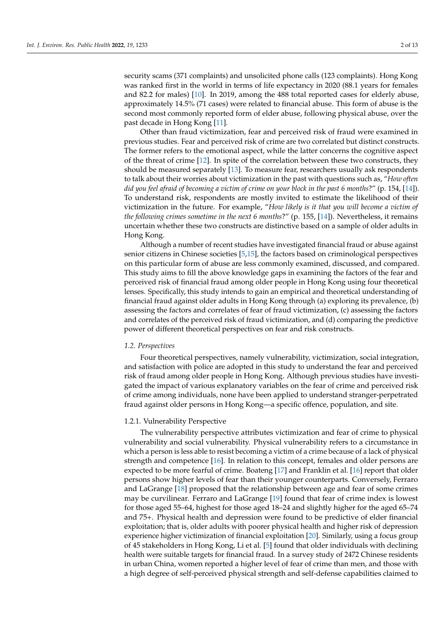security scams (371 complaints) and unsolicited phone calls (123 complaints). Hong Kong was ranked first in the world in terms of life expectancy in 2020 (88.1 years for females and 82.2 for males) [\[10\]](#page-12-3). In 2019, among the 488 total reported cases for elderly abuse, approximately 14.5% (71 cases) were related to financial abuse. This form of abuse is the second most commonly reported form of elder abuse, following physical abuse, over the past decade in Hong Kong [\[11\]](#page-12-4).

Other than fraud victimization, fear and perceived risk of fraud were examined in previous studies. Fear and perceived risk of crime are two correlated but distinct constructs. The former refers to the emotional aspect, while the latter concerns the cognitive aspect of the threat of crime [\[12\]](#page-12-5). In spite of the correlation between these two constructs, they should be measured separately [\[13\]](#page-12-6). To measure fear, researchers usually ask respondents to talk about their worries about victimization in the past with questions such as, "*How often did you feel afraid of becoming a victim of crime on your block in the past 6 months*?" (p. 154, [\[14\]](#page-12-7)). To understand risk, respondents are mostly invited to estimate the likelihood of their victimization in the future. For example, "*How likely is it that you will become a victim of the following crimes sometime in the next 6 months*?" (p. 155, [\[14\]](#page-12-7)). Nevertheless, it remains uncertain whether these two constructs are distinctive based on a sample of older adults in Hong Kong.

Although a number of recent studies have investigated financial fraud or abuse against senior citizens in Chinese societies [\[5,](#page-11-4)[15\]](#page-12-8), the factors based on criminological perspectives on this particular form of abuse are less commonly examined, discussed, and compared. This study aims to fill the above knowledge gaps in examining the factors of the fear and perceived risk of financial fraud among older people in Hong Kong using four theoretical lenses. Specifically, this study intends to gain an empirical and theoretical understanding of financial fraud against older adults in Hong Kong through (a) exploring its prevalence, (b) assessing the factors and correlates of fear of fraud victimization, (c) assessing the factors and correlates of the perceived risk of fraud victimization, and (d) comparing the predictive power of different theoretical perspectives on fear and risk constructs.

#### *1.2. Perspectives*

Four theoretical perspectives, namely vulnerability, victimization, social integration, and satisfaction with police are adopted in this study to understand the fear and perceived risk of fraud among older people in Hong Kong. Although previous studies have investigated the impact of various explanatory variables on the fear of crime and perceived risk of crime among individuals, none have been applied to understand stranger-perpetrated fraud against older persons in Hong Kong—a specific offence, population, and site.

#### 1.2.1. Vulnerability Perspective

The vulnerability perspective attributes victimization and fear of crime to physical vulnerability and social vulnerability. Physical vulnerability refers to a circumstance in which a person is less able to resist becoming a victim of a crime because of a lack of physical strength and competence [\[16\]](#page-12-9). In relation to this concept, females and older persons are expected to be more fearful of crime. Boateng [\[17\]](#page-12-10) and Franklin et al. [\[16\]](#page-12-9) report that older persons show higher levels of fear than their younger counterparts. Conversely, Ferraro and LaGrange [\[18\]](#page-12-11) proposed that the relationship between age and fear of some crimes may be curvilinear. Ferraro and LaGrange [\[19\]](#page-12-12) found that fear of crime index is lowest for those aged 55–64, highest for those aged 18–24 and slightly higher for the aged 65–74 and 75+. Physical health and depression were found to be predictive of elder financial exploitation; that is, older adults with poorer physical health and higher risk of depression experience higher victimization of financial exploitation [\[20\]](#page-12-13). Similarly, using a focus group of 45 stakeholders in Hong Kong, Li et al. [\[5\]](#page-11-4) found that older individuals with declining health were suitable targets for financial fraud. In a survey study of 2472 Chinese residents in urban China, women reported a higher level of fear of crime than men, and those with a high degree of self-perceived physical strength and self-defense capabilities claimed to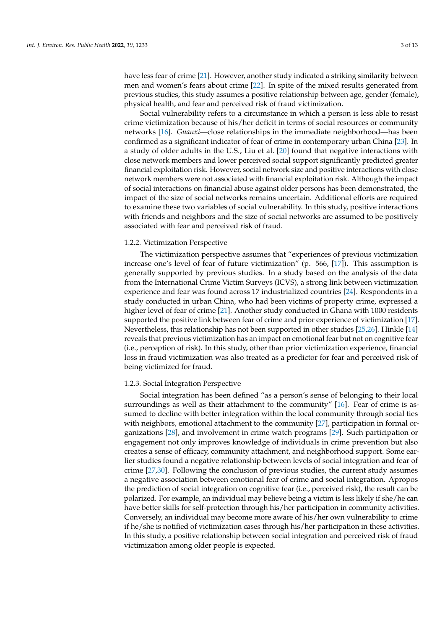have less fear of crime [\[21\]](#page-12-14). However, another study indicated a striking similarity between men and women's fears about crime [\[22\]](#page-12-15). In spite of the mixed results generated from previous studies, this study assumes a positive relationship between age, gender (female), physical health, and fear and perceived risk of fraud victimization.

Social vulnerability refers to a circumstance in which a person is less able to resist crime victimization because of his/her deficit in terms of social resources or community networks [\[16\]](#page-12-9). *Guanxi*—close relationships in the immediate neighborhood—has been confirmed as a significant indicator of fear of crime in contemporary urban China [\[23\]](#page-12-16). In a study of older adults in the U.S., Liu et al. [\[20\]](#page-12-13) found that negative interactions with close network members and lower perceived social support significantly predicted greater financial exploitation risk. However, social network size and positive interactions with close network members were not associated with financial exploitation risk. Although the impact of social interactions on financial abuse against older persons has been demonstrated, the impact of the size of social networks remains uncertain. Additional efforts are required to examine these two variables of social vulnerability. In this study, positive interactions with friends and neighbors and the size of social networks are assumed to be positively associated with fear and perceived risk of fraud.

#### 1.2.2. Victimization Perspective

The victimization perspective assumes that "experiences of previous victimization increase one's level of fear of future victimization" (p. 566, [\[17\]](#page-12-10)). This assumption is generally supported by previous studies. In a study based on the analysis of the data from the International Crime Victim Surveys (ICVS), a strong link between victimization experience and fear was found across 17 industrialized countries [\[24\]](#page-12-17). Respondents in a study conducted in urban China, who had been victims of property crime, expressed a higher level of fear of crime [\[21\]](#page-12-14). Another study conducted in Ghana with 1000 residents supported the positive link between fear of crime and prior experience of victimization [\[17\]](#page-12-10). Nevertheless, this relationship has not been supported in other studies [\[25,](#page-12-18)[26\]](#page-12-19). Hinkle [\[14\]](#page-12-7) reveals that previous victimization has an impact on emotional fear but not on cognitive fear (i.e., perception of risk). In this study, other than prior victimization experience, financial loss in fraud victimization was also treated as a predictor for fear and perceived risk of being victimized for fraud.

#### 1.2.3. Social Integration Perspective

Social integration has been defined "as a person's sense of belonging to their local surroundings as well as their attachment to the community" [\[16\]](#page-12-9). Fear of crime is assumed to decline with better integration within the local community through social ties with neighbors, emotional attachment to the community [\[27\]](#page-12-20), participation in formal organizations [\[28\]](#page-12-21), and involvement in crime watch programs [\[29\]](#page-12-22). Such participation or engagement not only improves knowledge of individuals in crime prevention but also creates a sense of efficacy, community attachment, and neighborhood support. Some earlier studies found a negative relationship between levels of social integration and fear of crime [\[27,](#page-12-20)[30\]](#page-12-23). Following the conclusion of previous studies, the current study assumes a negative association between emotional fear of crime and social integration. Apropos the prediction of social integration on cognitive fear (i.e., perceived risk), the result can be polarized. For example, an individual may believe being a victim is less likely if she/he can have better skills for self-protection through his/her participation in community activities. Conversely, an individual may become more aware of his/her own vulnerability to crime if he/she is notified of victimization cases through his/her participation in these activities. In this study, a positive relationship between social integration and perceived risk of fraud victimization among older people is expected.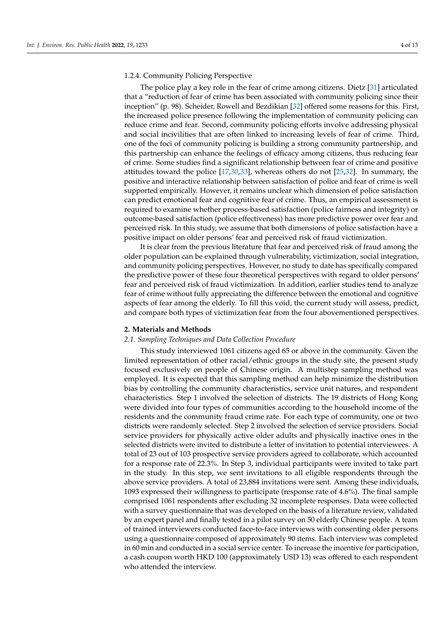#### 1.2.4. Community Policing Perspective

The police play a key role in the fear of crime among citizens. Dietz [\[31\]](#page-12-24) articulated that a "reduction of fear of crime has been associated with community policing since their inception" (p. 98). Scheider, Rowell and Bezdikian [\[32\]](#page-12-25) offered some reasons for this. First, the increased police presence following the implementation of community policing can reduce crime and fear. Second, community policing efforts involve addressing physical and social incivilities that are often linked to increasing levels of fear of crime. Third, one of the foci of community policing is building a strong community partnership, and this partnership can enhance the feelings of efficacy among citizens, thus reducing fear of crime. Some studies find a significant relationship between fear of crime and positive attitudes toward the police [\[17](#page-12-10)[,30](#page-12-23)[,33\]](#page-12-26), whereas others do not [\[25](#page-12-18)[,32\]](#page-12-25). In summary, the positive and interactive relationship between satisfaction of police and fear of crime is well supported empirically. However, it remains unclear which dimension of police satisfaction can predict emotional fear and cognitive fear of crime. Thus, an empirical assessment is required to examine whether process-based satisfaction (police fairness and integrity) or outcome-based satisfaction (police effectiveness) has more predictive power over fear and perceived risk. In this study, we assume that both dimensions of police satisfaction have a positive impact on older persons' fear and perceived risk of fraud victimization.

It is clear from the previous literature that fear and perceived risk of fraud among the older population can be explained through vulnerability, victimization, social integration, and community policing perspectives. However, no study to date has specifically compared the predictive power of these four theoretical perspectives with regard to older persons' fear and perceived risk of fraud victimization. In addition, earlier studies tend to analyze fear of crime without fully appreciating the difference between the emotional and cognitive aspects of fear among the elderly. To fill this void, the current study will assess, predict, and compare both types of victimization fear from the four abovementioned perspectives.

#### **2. Materials and Methods**

#### *2.1. Sampling Techniques and Data Collection Procedure*

This study interviewed 1061 citizens aged 65 or above in the community. Given the limited representation of other racial/ethnic groups in the study site, the present study focused exclusively on people of Chinese origin. A multistep sampling method was employed. It is expected that this sampling method can help minimize the distribution bias by controlling the community characteristics, service unit natures, and respondent characteristics. Step 1 involved the selection of districts. The 19 districts of Hong Kong were divided into four types of communities according to the household income of the residents and the community fraud crime rate. For each type of community, one or two districts were randomly selected. Step 2 involved the selection of service providers. Social service providers for physically active older adults and physically inactive ones in the selected districts were invited to distribute a letter of invitation to potential interviewees. A total of 23 out of 103 prospective service providers agreed to collaborate, which accounted for a response rate of 22.3%. In Step 3, individual participants were invited to take part in the study. In this step, we sent invitations to all eligible respondents through the above service providers. A total of 23,884 invitations were sent. Among these individuals, 1093 expressed their willingness to participate (response rate of 4.6%). The final sample comprised 1061 respondents after excluding 32 incomplete responses. Data were collected with a survey questionnaire that was developed on the basis of a literature review, validated by an expert panel and finally tested in a pilot survey on 50 elderly Chinese people. A team of trained interviewers conducted face-to-face interviews with consenting older persons using a questionnaire composed of approximately 90 items. Each interview was completed in 60 min and conducted in a social service center. To increase the incentive for participation, a cash coupon worth HKD 100 (approximately USD 13) was offered to each respondent who attended the interview.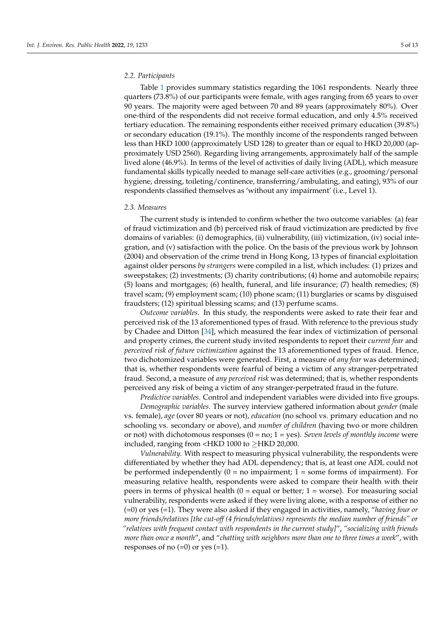#### *2.2. Participants*

Table [1](#page-6-0) provides summary statistics regarding the 1061 respondents. Nearly three quarters (73.8%) of our participants were female, with ages ranging from 65 years to over 90 years. The majority were aged between 70 and 89 years (approximately 80%). Over one-third of the respondents did not receive formal education, and only 4.5% received tertiary education. The remaining respondents either received primary education (39.8%) or secondary education (19.1%). The monthly income of the respondents ranged between less than HKD 1000 (approximately USD 128) to greater than or equal to HKD 20,000 (approximately USD 2560). Regarding living arrangements, approximately half of the sample lived alone (46.9%). In terms of the level of activities of daily living (ADL), which measure fundamental skills typically needed to manage self-care activities (e.g., grooming/personal hygiene, dressing, toileting/continence, transferring/ambulating, and eating), 93% of our respondents classified themselves as 'without any impairment' (i.e., Level 1).

#### *2.3. Measures*

The current study is intended to confirm whether the two outcome variables: (a) fear of fraud victimization and (b) perceived risk of fraud victimization are predicted by five domains of variables: (i) demographics, (ii) vulnerability, (iii) victimization, (iv) social integration, and (v) satisfaction with the police. On the basis of the previous work by Johnson (2004) and observation of the crime trend in Hong Kong, 13 types of financial exploitation against older persons *by strangers* were compiled in a list, which includes: (1) prizes and sweepstakes; (2) investments; (3) charity contributions; (4) home and automobile repairs; (5) loans and mortgages; (6) health, funeral, and life insurance; (7) health remedies; (8) travel scam; (9) employment scam; (10) phone scam; (11) burglaries or scams by disguised fraudsters; (12) spiritual blessing scams; and (13) perfume scams.

*Outcome variables.* In this study, the respondents were asked to rate their fear and perceived risk of the 13 aforementioned types of fraud. With reference to the previous study by Chadee and Ditton [\[34\]](#page-12-27), which measured the fear index of victimization of personal and property crimes, the current study invited respondents to report their *current fear* and *perceived risk of future victimization* against the 13 aforementioned types of fraud. Hence, two dichotomized variables were generated. First, a measure of *any fear* was determined; that is, whether respondents were fearful of being a victim of any stranger-perpetrated fraud. Second, a measure of *any perceived risk* was determined; that is, whether respondents perceived any risk of being a victim of any stranger-perpetrated fraud in the future.

*Predictive variables*. Control and independent variables were divided into five groups.

*Demographic variables*. The survey interview gathered information about *gender* (male vs. female), *age* (over 80 years or not), *education* (no school vs. primary education and no schooling vs. secondary or above), and *number of children* (having two or more children or not) with dichotomous responses (0 = no; 1 = yes). *Seven levels of monthly income* were included, ranging from <HKD 1000 to ≥HKD 20,000.

*Vulnerability.* With respect to measuring physical vulnerability, the respondents were differentiated by whether they had ADL dependency; that is, at least one ADL could not be performed independently  $(0 = no$  impairment; 1 = some forms of impairment). For measuring relative health, respondents were asked to compare their health with their peers in terms of physical health  $(0 =$  equal or better;  $1 =$  worse). For measuring social vulnerability, respondents were asked if they were living alone, with a response of either no (=0) or yes (=1). They were also asked if they engaged in activities, namely, "*having four or more friends/relatives [the cut-off (4 friends/relatives) represents the median number of friends" or "relatives with frequent contact with respondents in the current study]*", *"socializing with friends more than once a month*", and "*chatting with neighbors more than one to three times a week*", with responses of no  $(=0)$  or yes  $(=1)$ .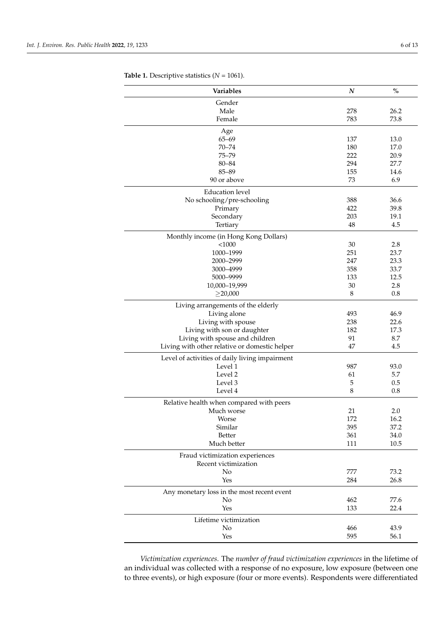| Variables                                      | $\boldsymbol{N}$ | $\%$ |
|------------------------------------------------|------------------|------|
| Gender                                         |                  |      |
| Male                                           | 278              | 26.2 |
| Female                                         | 783              | 73.8 |
| Age                                            |                  |      |
| $65 - 69$                                      | 137              | 13.0 |
| $70 - 74$                                      | 180              | 17.0 |
| $75 - 79$                                      | 222              | 20.9 |
| 80-84                                          | 294              | 27.7 |
| 85-89                                          | 155              | 14.6 |
| 90 or above                                    | 73               | 6.9  |
| <b>Education</b> level                         |                  |      |
| No schooling/pre-schooling                     | 388              | 36.6 |
| Primary                                        | 422              | 39.8 |
| Secondary                                      | 203              | 19.1 |
| Tertiary                                       | 48               | 4.5  |
| Monthly income (in Hong Kong Dollars)          |                  |      |
| $<$ 1000                                       | 30               | 2.8  |
| 1000-1999                                      | 251              | 23.7 |
| 2000-2999                                      | 247              | 23.3 |
| 3000-4999                                      | 358              | 33.7 |
| 5000-9999                                      | 133              | 12.5 |
| 10,000-19,999                                  | 30               | 2.8  |
| $\geq$ 20,000                                  | 8                | 0.8  |
| Living arrangements of the elderly             |                  |      |
| Living alone                                   | 493              | 46.9 |
| Living with spouse                             | 238              | 22.6 |
| Living with son or daughter                    | 182              | 17.3 |
| Living with spouse and children                | 91               | 8.7  |
| Living with other relative or domestic helper  | 47               | 4.5  |
| Level of activities of daily living impairment |                  |      |
| Level 1                                        | 987              | 93.0 |
| Level 2                                        | 61               | 5.7  |
| Level 3                                        | 5                | 0.5  |
| Level 4                                        | 8                | 0.8  |
| Relative health when compared with peers       |                  |      |
| Much worse                                     | 21               | 2.0  |
| Worse                                          | 172              | 16.2 |
| Similar                                        | 395              | 37.2 |
| Better                                         | 361              | 34.0 |
| Much better                                    | 111              | 10.5 |
| Fraud victimization experiences                |                  |      |
| Recent victimization                           |                  |      |
| No                                             | 777              | 73.2 |
| Yes                                            | 284              | 26.8 |
| Any monetary loss in the most recent event     |                  |      |
| No                                             | 462              | 77.6 |
| Yes                                            | 133              | 22.4 |
| Lifetime victimization                         |                  |      |
| No                                             | 466              | 43.9 |
| Yes                                            | 595              | 56.1 |
|                                                |                  |      |

<span id="page-6-0"></span>**Table 1.** Descriptive statistics (*N* = 1061).

*Victimization experiences.* The *number of fraud victimization experiences* in the lifetime of an individual was collected with a response of no exposure, low exposure (between one to three events), or high exposure (four or more events). Respondents were differentiated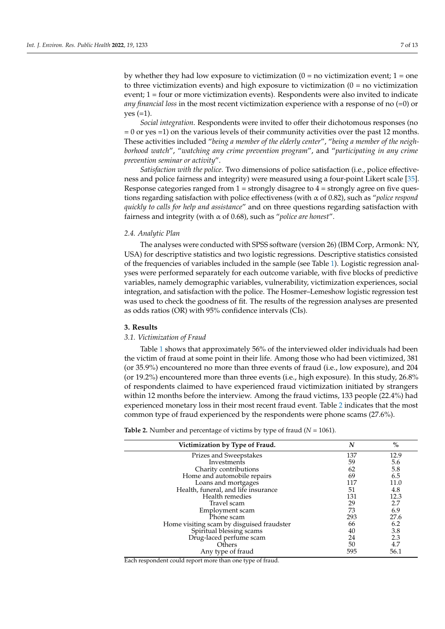by whether they had low exposure to victimization  $(0 = no$  victimization event;  $1 = one$ to three victimization events) and high exposure to victimization  $(0 = no$  victimization event; 1 = four or more victimization events). Respondents were also invited to indicate *any financial loss* in the most recent victimization experience with a response of no (=0) or  $yes (=1).$ 

*Social integration*. Respondents were invited to offer their dichotomous responses (no = 0 or yes =1) on the various levels of their community activities over the past 12 months. These activities included "*being a member of the elderly center*", "*being a member of the neighborhood watch*", "*watching any crime prevention program*", and "*participating in any crime prevention seminar or activity*".

*Satisfaction with the police*. Two dimensions of police satisfaction (i.e., police effectiveness and police fairness and integrity) were measured using a four-point Likert scale [\[35\]](#page-12-28). Response categories ranged from  $1 =$  strongly disagree to  $4 =$  strongly agree on five questions regarding satisfaction with police effectiveness (with α of 0.82), such as "*police respond quickly to calls for help and assistance*" and on three questions regarding satisfaction with fairness and integrity (with α of 0.68), such as "*police are honest*".

#### *2.4. Analytic Plan*

The analyses were conducted with SPSS software (version 26) (IBM Corp, Armonk: NY, USA) for descriptive statistics and two logistic regressions. Descriptive statistics consisted of the frequencies of variables included in the sample (see Table [1\)](#page-6-0). Logistic regression analyses were performed separately for each outcome variable, with five blocks of predictive variables, namely demographic variables, vulnerability, victimization experiences, social integration, and satisfaction with the police. The Hosmer–Lemeshow logistic regression test was used to check the goodness of fit. The results of the regression analyses are presented as odds ratios (OR) with 95% confidence intervals (CIs).

#### **3. Results**

#### *3.1. Victimization of Fraud*

Table [1](#page-6-0) shows that approximately 56% of the interviewed older individuals had been the victim of fraud at some point in their life. Among those who had been victimized, 381 (or 35.9%) encountered no more than three events of fraud (i.e., low exposure), and 204 (or 19.2%) encountered more than three events (i.e., high exposure). In this study, 26.8% of respondents claimed to have experienced fraud victimization initiated by strangers within 12 months before the interview. Among the fraud victims, 133 people (22.4%) had experienced monetary loss in their most recent fraud event. Table [2](#page-7-0) indicates that the most common type of fraud experienced by the respondents were phone scams (27.6%).

| Victimization by Type of Fraud.           | N   | $\%$ |  |
|-------------------------------------------|-----|------|--|
| Prizes and Sweepstakes                    | 137 | 12.9 |  |
| Investments                               | 59  | 5.6  |  |
| Charity contributions                     | 62  | 5.8  |  |
| Home and automobile repairs               | 69  | 6.5  |  |
| Loans and mortgages                       | 117 | 11.0 |  |
| Health, funeral, and life insurance       | 51  | 4.8  |  |
| Health remedies                           | 131 | 12.3 |  |
| Travel scam                               | 29  | 2.7  |  |
| Employment scam                           | 73  | 6.9  |  |
| Phone scam                                | 293 | 27.6 |  |
| Home visiting scam by disguised fraudster | 66  | 6.2  |  |
| Spiritual blessing scams                  | 40  | 3.8  |  |
| Drug-laced perfume scam                   | 24  | 2.3  |  |
| Others                                    | 50  | 4.7  |  |
| Any type of fraud                         | 595 | 56.1 |  |
|                                           |     |      |  |

<span id="page-7-0"></span>**Table 2.** Number and percentage of victims by type of fraud  $(N = 1061)$ .

Each respondent could report more than one type of fraud.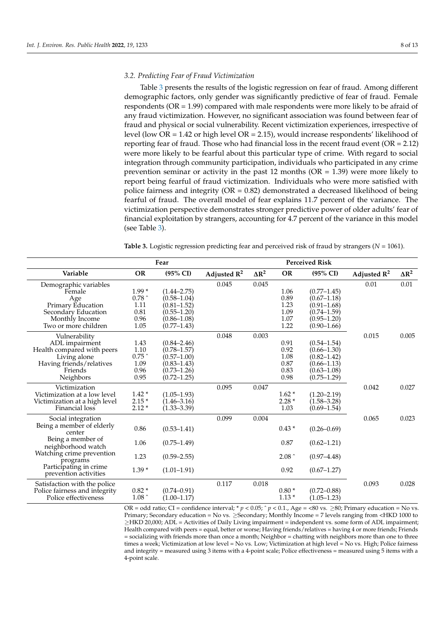#### *3.2. Predicting Fear of Fraud Victimization*

Table [3](#page-8-0) presents the results of the logistic regression on fear of fraud. Among different demographic factors, only gender was significantly predictive of fear of fraud. Female respondents ( $OR = 1.99$ ) compared with male respondents were more likely to be afraid of any fraud victimization. However, no significant association was found between fear of fraud and physical or social vulnerability. Recent victimization experiences, irrespective of level (low OR = 1.42 or high level OR = 2.15), would increase respondents' likelihood of reporting fear of fraud. Those who had financial loss in the recent fraud event (OR = 2.12) were more likely to be fearful about this particular type of crime. With regard to social integration through community participation, individuals who participated in any crime prevention seminar or activity in the past 12 months ( $OR = 1.39$ ) were more likely to report being fearful of fraud victimization. Individuals who were more satisfied with police fairness and integrity ( $OR = 0.82$ ) demonstrated a decreased likelihood of being fearful of fraud. The overall model of fear explains 11.7 percent of the variance. The victimization perspective demonstrates stronger predictive power of older adults' fear of financial exploitation by strangers, accounting for 4.7 percent of the variance in this model (see Table [3\)](#page-8-0).

<span id="page-8-0"></span>**Table 3.** Logistic regression predicting fear and perceived risk of fraud by strangers (*N* = 1061).

| Fear                                                  |                            |                                    |                         | <b>Perceived Risk</b> |                    |                                    |                |              |
|-------------------------------------------------------|----------------------------|------------------------------------|-------------------------|-----------------------|--------------------|------------------------------------|----------------|--------------|
| Variable                                              | <b>OR</b>                  | (95% CI)                           | Adjusted $\mathbb{R}^2$ | $\Delta R^2$          | <b>OR</b>          | $(95\% \text{ CI})$                | Adjusted $R^2$ | $\Delta R^2$ |
| Demographic variables                                 |                            |                                    | 0.045                   | 0.045                 |                    |                                    | 0.01           | 0.01         |
| Female                                                | $1.99*$                    | $(1.44 - 2.75)$                    |                         |                       | 1.06               | $(0.77 - 1.45)$                    |                |              |
| Age                                                   | 0.78 $^{\circ}$            | $(0.58 - 1.04)$                    |                         |                       | 0.89               | $(0.67 - 1.18)$                    |                |              |
| Primary Education                                     | 1.11                       | $(0.81 - 1.52)$                    |                         |                       | 1.23               | $(0.91 - 1.68)$                    |                |              |
| Secondary Education                                   | 0.81                       | $(0.55 - 1.20)$                    |                         |                       | 1.09               | $(0.74 - 1.59)$                    |                |              |
| Monthly Income                                        | 0.96                       | $(0.86 - 1.08)$                    |                         |                       | 1.07               | $(0.95 - 1.20)$                    |                |              |
| Two or more children                                  | 1.05                       | $(0.77 - 1.43)$                    |                         |                       | 1.22               | $(0.90 - 1.66)$                    |                |              |
| Vulnerability                                         |                            |                                    | 0.048                   | 0.003                 |                    |                                    | 0.015          | 0.005        |
| ADL impairment                                        | 1.43                       | $(0.84 - 2.46)$                    |                         |                       | 0.91               | $(0.54 - 1.54)$                    |                |              |
| Health compared with peers                            | $1.10\,$                   | $(0.78 - 1.57)$                    |                         |                       | 0.92               | $(0.66 - 1.30)$                    |                |              |
| Living alone                                          | $0.75$ $^{\small{\frown}}$ | $(0.57 - 1.00)$                    |                         |                       | 1.08               | $(0.82 - 1.42)$                    |                |              |
| Having friends/relatives                              | 1.09                       | $(0.83 - 1.43)$                    |                         |                       | $0.87\,$           | $(0.66 - 1.13)$                    |                |              |
| Friends                                               | 0.96                       | $(0.73 - 1.26)$                    |                         |                       | 0.83               | $(0.63 - 1.08)$                    |                |              |
| Neighbors                                             | 0.95                       | $(0.72 - 1.25)$                    |                         |                       | 0.98               | $(0.75 - 1.29)$                    |                |              |
| Victimization                                         |                            |                                    | 0.095                   | 0.047                 |                    |                                    | 0.042          | 0.027        |
| Victimization at a low level                          | $1.42*$                    | $(1.05 - 1.93)$                    |                         |                       | $1.62*$            | $(1.20 - 2.19)$                    |                |              |
| Victimization at a high level                         | $2.15*$                    | $(1.46 - 3.16)$                    |                         |                       | $2.28*$            | $(1.58 - 3.28)$                    |                |              |
| Financial loss                                        | $2.12*$                    | $(1.33 - 3.39)$                    |                         |                       | 1.03               | $(0.69 - 1.54)$                    |                |              |
| Social integration                                    |                            |                                    | 0.099                   | 0.004                 |                    |                                    | 0.065          | 0.023        |
| Being a member of elderly                             | 0.86                       | $(0.53 - 1.41)$                    |                         |                       | $0.43*$            | $(0.26 - 0.69)$                    |                |              |
| center                                                |                            |                                    |                         |                       |                    |                                    |                |              |
| Being a member of                                     | 1.06                       | $(0.75 - 1.49)$                    |                         |                       | 0.87               | $(0.62 - 1.21)$                    |                |              |
| neighborhood watch                                    |                            |                                    |                         |                       |                    |                                    |                |              |
| Watching crime prevention                             | 1.23                       | $(0.59 - 2.55)$                    |                         |                       | $2.08^{\degree}$   | $(0.97 - 4.48)$                    |                |              |
| programs<br>Participating in crime                    |                            |                                    |                         |                       |                    |                                    |                |              |
| prevention activities                                 | $1.39*$                    | $(1.01 - 1.91)$                    |                         |                       | 0.92               | $(0.67 - 1.27)$                    |                |              |
|                                                       |                            |                                    |                         |                       |                    |                                    |                |              |
| Satisfaction with the police                          |                            |                                    | 0.117                   | 0.018                 |                    |                                    | 0.093          | 0.028        |
| Police fairness and integrity<br>Police effectiveness | $0.82*$<br>1.08 $\hat{ }$  | $(0.74 - 0.91)$<br>$(1.00 - 1.17)$ |                         |                       | $0.80*$<br>$1.13*$ | $(0.72 - 0.88)$<br>$(1.05 - 1.23)$ |                |              |
|                                                       |                            |                                    |                         |                       |                    |                                    |                |              |

OR = odd ratio; CI = confidence interval; \* *p* < 0.05; ˆ *p* < 0.1., Age = <80 vs. ≥80; Primary education = No vs. Primary; Secondary education = No vs. ≥Secondary; Monthly Income = 7 levels ranging from <HKD 1000 to ≥HKD 20,000; ADL = Activities of Daily Living impairment = independent vs. some form of ADL impairment; Health compared with peers = equal, better or worse; Having friends/relatives = having 4 or more friends; Friends = socializing with friends more than once a month; Neighbor = chatting with neighbors more than one to three times a week; Victimization at low level = No vs. Low; Victimization at high level = No vs. High; Police fairness and integrity = measured using 3 items with a 4-point scale; Police effectiveness = measured using 5 items with a 4-point scale.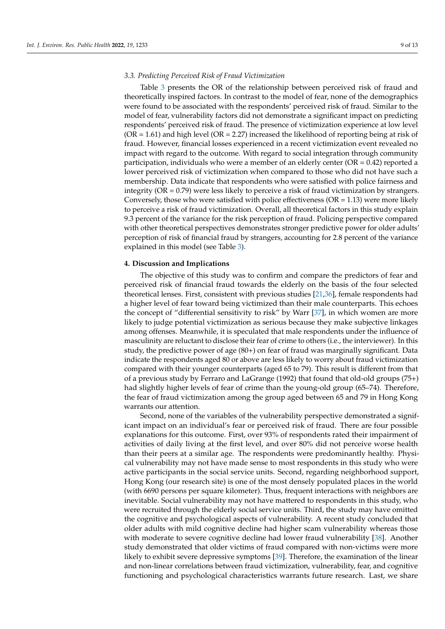#### *3.3. Predicting Perceived Risk of Fraud Victimization*

Table [3](#page-8-0) presents the OR of the relationship between perceived risk of fraud and theoretically inspired factors. In contrast to the model of fear, none of the demographics were found to be associated with the respondents' perceived risk of fraud. Similar to the model of fear, vulnerability factors did not demonstrate a significant impact on predicting respondents' perceived risk of fraud. The presence of victimization experience at low level  $(OR = 1.61)$  and high level  $(OR = 2.27)$  increased the likelihood of reporting being at risk of fraud. However, financial losses experienced in a recent victimization event revealed no impact with regard to the outcome. With regard to social integration through community participation, individuals who were a member of an elderly center ( $OR = 0.42$ ) reported a lower perceived risk of victimization when compared to those who did not have such a membership. Data indicate that respondents who were satisfied with police fairness and integrity (OR = 0.79) were less likely to perceive a risk of fraud victimization by strangers. Conversely, those who were satisfied with police effectiveness ( $OR = 1.13$ ) were more likely to perceive a risk of fraud victimization. Overall, all theoretical factors in this study explain 9.3 percent of the variance for the risk perception of fraud. Policing perspective compared with other theoretical perspectives demonstrates stronger predictive power for older adults' perception of risk of financial fraud by strangers, accounting for 2.8 percent of the variance explained in this model (see Table [3\)](#page-8-0).

#### **4. Discussion and Implications**

The objective of this study was to confirm and compare the predictors of fear and perceived risk of financial fraud towards the elderly on the basis of the four selected theoretical lenses. First, consistent with previous studies [\[21,](#page-12-14)[36\]](#page-12-29), female respondents had a higher level of fear toward being victimized than their male counterparts. This echoes the concept of "differential sensitivity to risk" by Warr [\[37\]](#page-13-0), in which women are more likely to judge potential victimization as serious because they make subjective linkages among offenses. Meanwhile, it is speculated that male respondents under the influence of masculinity are reluctant to disclose their fear of crime to others (i.e., the interviewer). In this study, the predictive power of age (80+) on fear of fraud was marginally significant. Data indicate the respondents aged 80 or above are less likely to worry about fraud victimization compared with their younger counterparts (aged 65 to 79). This result is different from that of a previous study by Ferraro and LaGrange (1992) that found that old-old groups (75+) had slightly higher levels of fear of crime than the young-old group (65–74). Therefore, the fear of fraud victimization among the group aged between 65 and 79 in Hong Kong warrants our attention.

Second, none of the variables of the vulnerability perspective demonstrated a significant impact on an individual's fear or perceived risk of fraud. There are four possible explanations for this outcome. First, over 93% of respondents rated their impairment of activities of daily living at the first level, and over 80% did not perceive worse health than their peers at a similar age. The respondents were predominantly healthy. Physical vulnerability may not have made sense to most respondents in this study who were active participants in the social service units. Second, regarding neighborhood support, Hong Kong (our research site) is one of the most densely populated places in the world (with 6690 persons per square kilometer). Thus, frequent interactions with neighbors are inevitable. Social vulnerability may not have mattered to respondents in this study, who were recruited through the elderly social service units. Third, the study may have omitted the cognitive and psychological aspects of vulnerability. A recent study concluded that older adults with mild cognitive decline had higher scam vulnerability whereas those with moderate to severe cognitive decline had lower fraud vulnerability [\[38\]](#page-13-1). Another study demonstrated that older victims of fraud compared with non-victims were more likely to exhibit severe depressive symptoms [\[39\]](#page-13-2). Therefore, the examination of the linear and non-linear correlations between fraud victimization, vulnerability, fear, and cognitive functioning and psychological characteristics warrants future research. Last, we share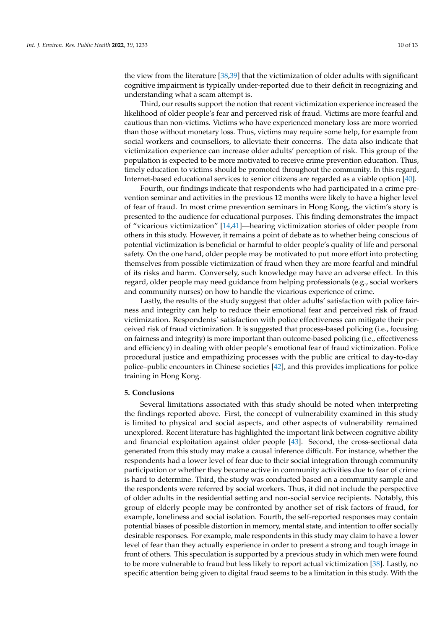the view from the literature [\[38,](#page-13-1)[39\]](#page-13-2) that the victimization of older adults with significant cognitive impairment is typically under-reported due to their deficit in recognizing and understanding what a scam attempt is.

Third, our results support the notion that recent victimization experience increased the likelihood of older people's fear and perceived risk of fraud. Victims are more fearful and cautious than non-victims. Victims who have experienced monetary loss are more worried than those without monetary loss. Thus, victims may require some help, for example from social workers and counsellors, to alleviate their concerns. The data also indicate that victimization experience can increase older adults' perception of risk. This group of the population is expected to be more motivated to receive crime prevention education. Thus, timely education to victims should be promoted throughout the community. In this regard, Internet-based educational services to senior citizens are regarded as a viable option [\[40\]](#page-13-3).

Fourth, our findings indicate that respondents who had participated in a crime prevention seminar and activities in the previous 12 months were likely to have a higher level of fear of fraud. In most crime prevention seminars in Hong Kong, the victim's story is presented to the audience for educational purposes. This finding demonstrates the impact of "vicarious victimization" [\[14,](#page-12-7)[41\]](#page-13-4)—hearing victimization stories of older people from others in this study. However, it remains a point of debate as to whether being conscious of potential victimization is beneficial or harmful to older people's quality of life and personal safety. On the one hand, older people may be motivated to put more effort into protecting themselves from possible victimization of fraud when they are more fearful and mindful of its risks and harm. Conversely, such knowledge may have an adverse effect. In this regard, older people may need guidance from helping professionals (e.g., social workers and community nurses) on how to handle the vicarious experience of crime.

Lastly, the results of the study suggest that older adults' satisfaction with police fairness and integrity can help to reduce their emotional fear and perceived risk of fraud victimization. Respondents' satisfaction with police effectiveness can mitigate their perceived risk of fraud victimization. It is suggested that process-based policing (i.e., focusing on fairness and integrity) is more important than outcome-based policing (i.e., effectiveness and efficiency) in dealing with older people's emotional fear of fraud victimization. Police procedural justice and empathizing processes with the public are critical to day-to-day police–public encounters in Chinese societies [\[42\]](#page-13-5), and this provides implications for police training in Hong Kong.

#### **5. Conclusions**

Several limitations associated with this study should be noted when interpreting the findings reported above. First, the concept of vulnerability examined in this study is limited to physical and social aspects, and other aspects of vulnerability remained unexplored. Recent literature has highlighted the important link between cognitive ability and financial exploitation against older people [\[43\]](#page-13-6). Second, the cross-sectional data generated from this study may make a causal inference difficult. For instance, whether the respondents had a lower level of fear due to their social integration through community participation or whether they became active in community activities due to fear of crime is hard to determine. Third, the study was conducted based on a community sample and the respondents were referred by social workers. Thus, it did not include the perspective of older adults in the residential setting and non-social service recipients. Notably, this group of elderly people may be confronted by another set of risk factors of fraud, for example, loneliness and social isolation. Fourth, the self-reported responses may contain potential biases of possible distortion in memory, mental state, and intention to offer socially desirable responses. For example, male respondents in this study may claim to have a lower level of fear than they actually experience in order to present a strong and tough image in front of others. This speculation is supported by a previous study in which men were found to be more vulnerable to fraud but less likely to report actual victimization [\[38\]](#page-13-1). Lastly, no specific attention being given to digital fraud seems to be a limitation in this study. With the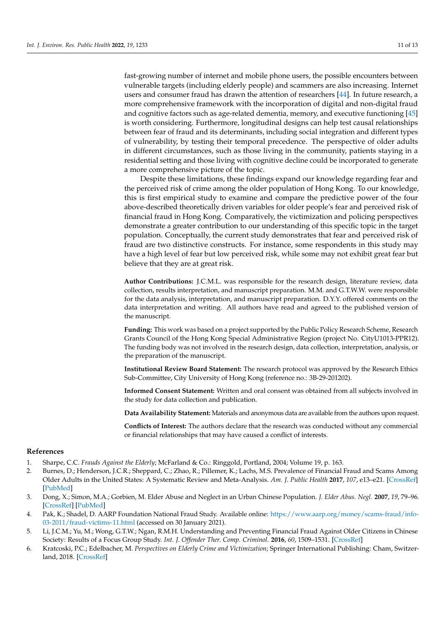fast-growing number of internet and mobile phone users, the possible encounters between vulnerable targets (including elderly people) and scammers are also increasing. Internet users and consumer fraud has drawn the attention of researchers [\[44\]](#page-13-7). In future research, a more comprehensive framework with the incorporation of digital and non-digital fraud and cognitive factors such as age-related dementia, memory, and executive functioning [\[45\]](#page-13-8) is worth considering. Furthermore, longitudinal designs can help test causal relationships between fear of fraud and its determinants, including social integration and different types of vulnerability, by testing their temporal precedence. The perspective of older adults in different circumstances, such as those living in the community, patients staying in a residential setting and those living with cognitive decline could be incorporated to generate a more comprehensive picture of the topic.

Despite these limitations, these findings expand our knowledge regarding fear and the perceived risk of crime among the older population of Hong Kong. To our knowledge, this is first empirical study to examine and compare the predictive power of the four above-described theoretically driven variables for older people's fear and perceived risk of financial fraud in Hong Kong. Comparatively, the victimization and policing perspectives demonstrate a greater contribution to our understanding of this specific topic in the target population. Conceptually, the current study demonstrates that fear and perceived risk of fraud are two distinctive constructs. For instance, some respondents in this study may have a high level of fear but low perceived risk, while some may not exhibit great fear but believe that they are at great risk.

**Author Contributions:** J.C.M.L. was responsible for the research design, literature review, data collection, results interpretation, and manuscript preparation. M.M. and G.T.W.W. were responsible for the data analysis, interpretation, and manuscript preparation. D.Y.Y. offered comments on the data interpretation and writing. All authors have read and agreed to the published version of the manuscript.

**Funding:** This work was based on a project supported by the Public Policy Research Scheme, Research Grants Council of the Hong Kong Special Administrative Region (project No. CityU1013-PPR12). The funding body was not involved in the research design, data collection, interpretation, analysis, or the preparation of the manuscript.

**Institutional Review Board Statement:** The research protocol was approved by the Research Ethics Sub-Committee, City University of Hong Kong (reference no.: 3B-29-201202).

**Informed Consent Statement:** Written and oral consent was obtained from all subjects involved in the study for data collection and publication.

**Data Availability Statement:** Materials and anonymous data are available from the authors upon request.

**Conflicts of Interest:** The authors declare that the research was conducted without any commercial or financial relationships that may have caused a conflict of interests.

#### **References**

- <span id="page-11-0"></span>1. Sharpe, C.C. *Frauds Against the Elderly*; McFarland & Co.: Ringgold, Portland, 2004; Volume 19, p. 163.
- <span id="page-11-1"></span>2. Burnes, D.; Henderson, J.C.R.; Sheppard, C.; Zhao, R.; Pillemer, K.; Lachs, M.S. Prevalence of Financial Fraud and Scams Among Older Adults in the United States: A Systematic Review and Meta-Analysis. *Am. J. Public Health* **2017**, *107*, e13–e21. [\[CrossRef\]](http://doi.org/10.2105/AJPH.2017.303821) [\[PubMed\]](http://www.ncbi.nlm.nih.gov/pubmed/28640686)
- <span id="page-11-2"></span>3. Dong, X.; Simon, M.A.; Gorbien, M. Elder Abuse and Neglect in an Urban Chinese Population. *J. Elder Abus. Negl.* **2007**, *19*, 79–96. [\[CrossRef\]](http://doi.org/10.1300/J084v19n03_05) [\[PubMed\]](http://www.ncbi.nlm.nih.gov/pubmed/18160382)
- <span id="page-11-3"></span>4. Pak, K.; Shadel, D. AARP Foundation National Fraud Study. Available online: [https://www.aarp.org/money/scams-fraud/info-](https://www.aarp.org/money/scams-fraud/info-03-2011/fraud-victims-11.html)[03-2011/fraud-victims-11.html](https://www.aarp.org/money/scams-fraud/info-03-2011/fraud-victims-11.html) (accessed on 30 January 2021).
- <span id="page-11-4"></span>5. Li, J.C.M.; Yu, M.; Wong, G.T.W.; Ngan, R.M.H. Understanding and Preventing Financial Fraud Against Older Citizens in Chinese Society: Results of a Focus Group Study. *Int. J. Offender Ther. Comp. Criminol.* **2016**, *60*, 1509–1531. [\[CrossRef\]](http://doi.org/10.1177/0306624X15579258)
- <span id="page-11-5"></span>6. Kratcoski, P.C.; Edelbacher, M. *Perspectives on Elderly Crime and Victimization*; Springer International Publishing: Cham, Switzerland, 2018. [\[CrossRef\]](http://doi.org/10.1007/978-3-319-72682-3)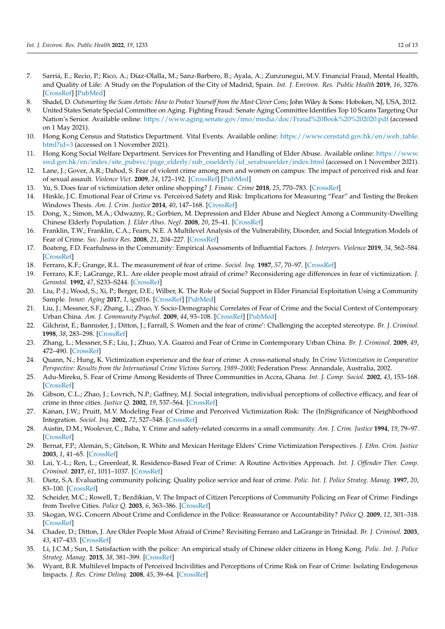- <span id="page-12-0"></span>7. Sarriá, E.; Recio, P.; Rico, A.; Díaz-Olalla, M.; Sanz-Barbero, B.; Ayala, A.; Zunzunegui, M.V. Financial Fraud, Mental Health, and Quality of Life: A Study on the Population of the City of Madrid, Spain. *Int. J. Environ. Res. Public Health* **2019**, *16*, 3276. [\[CrossRef\]](http://doi.org/10.3390/ijerph16183276) [\[PubMed\]](http://www.ncbi.nlm.nih.gov/pubmed/31489951)
- <span id="page-12-1"></span>8. Shadel, D. *Outsmarting the Scam Artists: How to Protect Yourself from the Most Clever Cons*; John Wiley & Sons: Hoboken, NJ, USA, 2012.
- <span id="page-12-2"></span>9. United States Senate Special Committee on Aging. Fighting Fraud: Senate Aging Committee Identifies Top 10 Scams Targeting Our Nation's Senior. Available online: <https://www.aging.senate.gov/imo/media/doc/Fraud%20Book%20%202020.pdf> (accessed on 1 May 2021).
- <span id="page-12-3"></span>10. Hong Kong Census and Statistics Department. Vital Events. Available online: [https://www.censtatd.gov.hk/en/web\\_table.](https://www.censtatd.gov.hk/en/web_table.html?id=3) [html?id=3](https://www.censtatd.gov.hk/en/web_table.html?id=3) (accessed on 1 November 2021).
- <span id="page-12-4"></span>11. Hong Kong Social Welfare Department. Services for Preventing and Handling of Elder Abuse. Available online: [https://www.](https://www.swd.gov.hk/en/index/site_pubsvc/page_elderly/sub_csselderly/id_serabuseelder/index.html) [swd.gov.hk/en/index/site\\_pubsvc/page\\_elderly/sub\\_csselderly/id\\_serabuseelder/index.html](https://www.swd.gov.hk/en/index/site_pubsvc/page_elderly/sub_csselderly/id_serabuseelder/index.html) (accessed on 1 November 2021).
- <span id="page-12-5"></span>12. Lane, J.; Gover, A.R.; Dahod, S. Fear of violent crime among men and women on campus: The impact of perceived risk and fear of sexual assault. *Violence Vict.* **2009**, *24*, 172–192. [\[CrossRef\]](http://doi.org/10.1891/0886-6708.24.2.172) [\[PubMed\]](http://www.ncbi.nlm.nih.gov/pubmed/19459398)
- <span id="page-12-6"></span>13. Yu, S. Does fear of victimization deter online shopping? *J. Financ. Crime* **2018**, *25*, 770–783. [\[CrossRef\]](http://doi.org/10.1108/JFC-05-2017-0038)
- <span id="page-12-7"></span>14. Hinkle, J.C. Emotional Fear of Crime vs. Perceived Safety and Risk: Implications for Measuring "Fear" and Testing the Broken Windows Thesis. *Am. J. Crim. Justice* **2014**, *40*, 147–168. [\[CrossRef\]](http://doi.org/10.1007/s12103-014-9243-9)
- <span id="page-12-8"></span>15. Dong, X.; Simon, M.A.; Odwazny, R.; Gorbien, M. Depression and Elder Abuse and Neglect Among a Community-Dwelling Chinese Elderly Population. *J. Elder Abus. Negl.* **2008**, *20*, 25–41. [\[CrossRef\]](http://doi.org/10.1300/J084v20n01_02)
- <span id="page-12-9"></span>16. Franklin, T.W.; Franklin, C.A.; Fearn, N.E. A Multilevel Analysis of the Vulnerability, Disorder, and Social Integration Models of Fear of Crime. *Soc. Justice Res.* **2008**, *21*, 204–227. [\[CrossRef\]](http://doi.org/10.1007/s11211-008-0069-9)
- <span id="page-12-10"></span>17. Boateng, F.D. Fearfulness in the Community: Empirical Assessments of Influential Factors. *J. Interpers. Violence* **2019**, *34*, 562–584. [\[CrossRef\]](http://doi.org/10.1177/0886260516642295)
- <span id="page-12-11"></span>18. Ferraro, K.F.; Grange, R.L. The measurement of fear of crime. *Sociol. Inq.* **1987**, *57*, 70–97. [\[CrossRef\]](http://doi.org/10.1111/j.1475-682X.1987.tb01181.x)
- <span id="page-12-12"></span>19. Ferraro, K.F.; LaGrange, R.L. Are older people most afraid of crime? Reconsidering age differences in fear of victimization. *J. Gerontol.* **1992**, *47*, S233–S244. [\[CrossRef\]](http://doi.org/10.1093/geronj/47.5.S233)
- <span id="page-12-13"></span>20. Liu, P.-J.; Wood, S.; Xi, P.; Berger, D.E.; Wilber, K. The Role of Social Support in Elder Financial Exploitation Using a Community Sample. *Innov. Aging* **2017**, *1*, igx016. [\[CrossRef\]](http://doi.org/10.1093/geroni/igx016) [\[PubMed\]](http://www.ncbi.nlm.nih.gov/pubmed/30480110)
- <span id="page-12-14"></span>21. Liu, J.; Messner, S.F.; Zhang, L.; Zhuo, Y. Socio-Demographic Correlates of Fear of Crime and the Social Context of Contemporary Urban China. *Am. J. Community Psychol.* **2009**, *44*, 93–108. [\[CrossRef\]](http://doi.org/10.1007/s10464-009-9255-7) [\[PubMed\]](http://www.ncbi.nlm.nih.gov/pubmed/19554444)
- <span id="page-12-15"></span>22. Gilchrist, E.; Bannister, J.; Ditton, J.; Farrall, S. Women and the fear of crime': Challenging the accepted stereotype. *Br. J. Criminol.* **1998**, *38*, 283–298. [\[CrossRef\]](http://doi.org/10.1093/oxfordjournals.bjc.a014236)
- <span id="page-12-16"></span>23. Zhang, L.; Messner, S.F.; Liu, J.; Zhuo, Y.A. Guanxi and Fear of Crime in Contemporary Urban China. *Br. J. Criminol.* **2009**, *49*, 472–490. [\[CrossRef\]](http://doi.org/10.1093/bjc/azp016)
- <span id="page-12-17"></span>24. Quann, N.; Hung, K. Victimization experience and the fear of crime: A cross-national study. In *Crime Victimization in Comparative Perspective: Results from the International Crime Victims Survey, 1989–2000*; Federation Press: Annandale, Australia, 2002.
- <span id="page-12-18"></span>25. Adu-Mireku, S. Fear of Crime Among Residents of Three Communities in Accra, Ghana. *Int. J. Comp. Sociol.* **2002**, *43*, 153–168. [\[CrossRef\]](http://doi.org/10.1177/002071520204300203)
- <span id="page-12-19"></span>26. Gibson, C.L.; Zhao, J.; Lovrich, N.P.; Gaffney, M.J. Social integration, individual perceptions of collective efficacy, and fear of crime in three cities. *Justice Q.* **2002**, *19*, 537–564. [\[CrossRef\]](http://doi.org/10.1080/07418820200095341)
- <span id="page-12-20"></span>27. Kanan, J.W.; Pruitt, M.V. Modeling Fear of Crime and Perceived Victimization Risk: The (In)Significance of Neighborhood Integration. *Sociol. Inq.* **2002**, *72*, 527–548. [\[CrossRef\]](http://doi.org/10.1111/1475-682X.00033)
- <span id="page-12-21"></span>28. Austin, D.M.; Woolever, C.; Baba, Y. Crime and safety-related concerns in a small community. *Am. J. Crim. Justice* **1994**, *19*, 79–97. [\[CrossRef\]](http://doi.org/10.1007/BF02887440)
- <span id="page-12-22"></span>29. Bernat, F.P.; Alemán, S.; Gitelson, R. White and Mexican Heritage Elders' Crime Victimization Perspectives. *J. Ethn. Crim. Justice* **2003**, *1*, 41–65. [\[CrossRef\]](http://doi.org/10.1300/J222v01n03_03)
- <span id="page-12-23"></span>30. Lai, Y.-L.; Ren, L.; Greenleaf, R. Residence-Based Fear of Crime: A Routine Activities Approach. *Int. J. Offender Ther. Comp. Criminol.* **2017**, *61*, 1011–1037. [\[CrossRef\]](http://doi.org/10.1177/0306624X15625054)
- <span id="page-12-24"></span>31. Dietz, S.A. Evaluating community policing: Quality police service and fear of crime. *Polic. Int. J. Police Strateg. Manag.* **1997**, *20*, 83–100. [\[CrossRef\]](http://doi.org/10.1108/13639519710162024)
- <span id="page-12-25"></span>32. Scheider, M.C.; Rowell, T.; Bezdikian, V. The Impact of Citizen Perceptions of Community Policing on Fear of Crime: Findings from Twelve Cities. *Police Q.* **2003**, *6*, 363–386. [\[CrossRef\]](http://doi.org/10.1177/1098611102250697)
- <span id="page-12-26"></span>33. Skogan, W.G. Concern About Crime and Confidence in the Police: Reassurance or Accountability? *Police Q.* **2009**, *12*, 301–318. [\[CrossRef\]](http://doi.org/10.1177/1098611109339893)
- <span id="page-12-27"></span>34. Chadee, D.; Ditton, J. Are Older People Most Afraid of Crime? Revisiting Ferraro and LaGrange in Trinidad. *Br. J. Criminol.* **2003**, *43*, 417–433. [\[CrossRef\]](http://doi.org/10.1093/bjc/43.2.417)
- <span id="page-12-28"></span>35. Li, J.C.M.; Sun, I. Satisfaction with the police: An empirical study of Chinese older citizens in Hong Kong. *Polic. Int. J. Police Strateg. Manag.* **2015**, *38*, 381–399. [\[CrossRef\]](http://doi.org/10.1108/PIJPSM-12-2014-0137)
- <span id="page-12-29"></span>36. Wyant, B.R. Multilevel Impacts of Perceived Incivilities and Perceptions of Crime Risk on Fear of Crime: Isolating Endogenous Impacts. *J. Res. Crime Delinq.* **2008**, *45*, 39–64. [\[CrossRef\]](http://doi.org/10.1177/0022427807309440)